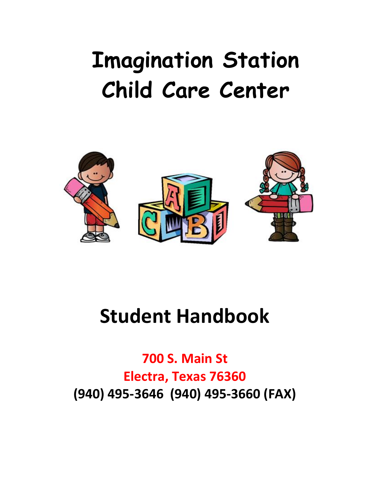# **Imagination Station Child Care Center**



## **Student Handbook**

**700 S. Main St Electra, Texas 76360 (940) 495-3646 (940) 495-3660 (FAX)**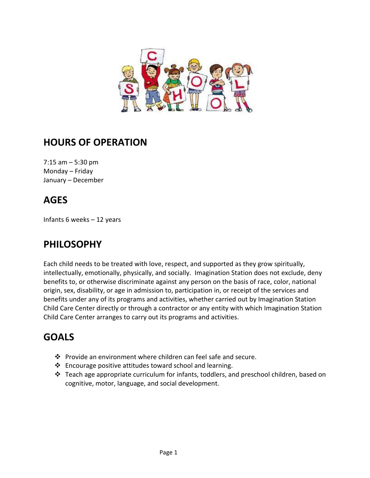

## **HOURS OF OPERATION**

7:15 am – 5:30 pm Monday – Friday January – December

## **AGES**

Infants 6 weeks – 12 years

## **PHILOSOPHY**

Each child needs to be treated with love, respect, and supported as they grow spiritually, intellectually, emotionally, physically, and socially. Imagination Station does not exclude, deny benefits to, or otherwise discriminate against any person on the basis of race, color, national origin, sex, disability, or age in admission to, participation in, or receipt of the services and benefits under any of its programs and activities, whether carried out by Imagination Station Child Care Center directly or through a contractor or any entity with which Imagination Station Child Care Center arranges to carry out its programs and activities.

## **GOALS**

- ❖ Provide an environment where children can feel safe and secure.
- ❖ Encourage positive attitudes toward school and learning.
- $\div$  Teach age appropriate curriculum for infants, toddlers, and preschool children, based on cognitive, motor, language, and social development.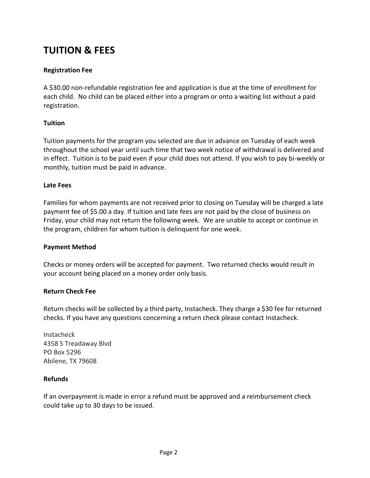## **TUITION & FEES**

#### **Registration Fee**

A \$30.00 non-refundable registration fee and application is due at the time of enrollment for each child. No child can be placed either into a program or onto a waiting list without a paid registration.

#### **Tuition**

Tuition payments for the program you selected are due in advance on Tuesday of each week throughout the school year until such time that two week notice of withdrawal is delivered and in effect. Tuition is to be paid even if your child does not attend. If you wish to pay bi-weekly or monthly, tuition must be paid in advance.

#### **Late Fees**

Families for whom payments are not received prior to closing on Tuesday will be charged a late payment fee of \$5.00 a day. If tuition and late fees are not paid by the close of business on Friday, your child may not return the following week. We are unable to accept or continue in the program, children for whom tuition is delinquent for one week.

#### **Payment Method**

Checks or money orders will be accepted for payment. Two returned checks would result in your account being placed on a money order only basis.

#### **Return Check Fee**

Return checks will be collected by a third party, Instacheck. They charge a \$30 fee for returned checks. If you have any questions concerning a return check please contact Instacheck.

Instacheck 4358 S Treadaway Blvd PO Box 5296 Abilene, TX 79608

#### **Refunds**

If an overpayment is made in error a refund must be approved and a reimbursement check could take up to 30 days to be issued.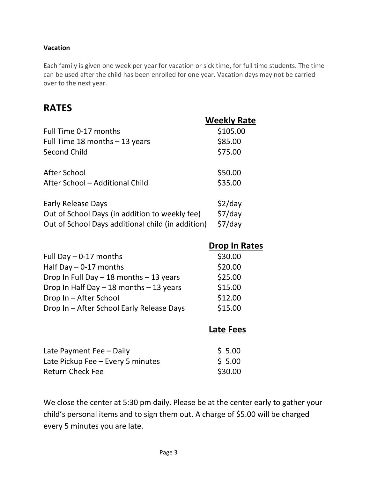#### **Vacation**

Each family is given one week per year for vacation or sick time, for full time students. The time can be used after the child has been enrolled for one year. Vacation days may not be carried over to the next year.

## **RATES**

|                                                   | <b>Weekly Rate</b>   |
|---------------------------------------------------|----------------------|
| Full Time 0-17 months                             | \$105.00             |
| Full Time 18 months - 13 years                    | \$85.00              |
| <b>Second Child</b>                               | \$75.00              |
| After School                                      | \$50.00              |
| After School - Additional Child                   | \$35.00              |
| <b>Early Release Days</b>                         | $$2$ /day            |
| Out of School Days (in addition to weekly fee)    | $$7$ /day            |
| Out of School Days additional child (in addition) | $$7$ /day            |
|                                                   | <b>Drop In Rates</b> |
| Full Day $-0-17$ months                           | \$30.00              |
| Half Day $-0-17$ months                           | \$20.00              |
| Drop In Full Day - 18 months - 13 years           | \$25.00              |
| Drop In Half Day - 18 months - 13 years           | \$15.00              |
| Drop In - After School                            | \$12.00              |
| Drop In - After School Early Release Days         | \$15.00              |
|                                                   | <b>Late Fees</b>     |
| Late Payment Fee - Daily                          | \$5.00               |
| Late Pickup Fee - Every 5 minutes                 | \$5.00               |
| <b>Return Check Fee</b>                           | \$30.00              |

We close the center at 5:30 pm daily. Please be at the center early to gather your child's personal items and to sign them out. A charge of \$5.00 will be charged every 5 minutes you are late.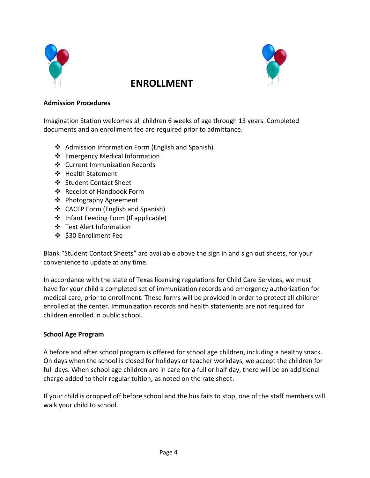

## **ENROLLMENT**



#### **Admission Procedures**

Imagination Station welcomes all children 6 weeks of age through 13 years. Completed documents and an enrollment fee are required prior to admittance.

- ❖ Admission Information Form (English and Spanish)
- ❖ Emergency Medical Information
- ❖ Current Immunization Records
- ❖ Health Statement
- ❖ Student Contact Sheet
- ❖ Receipt of Handbook Form
- ❖ Photography Agreement
- ❖ CACFP Form (English and Spanish)
- ❖ Infant Feeding Form (If applicable)
- ❖ Text Alert Information
- ❖ \$30 Enrollment Fee

Blank "Student Contact Sheets" are available above the sign in and sign out sheets, for your convenience to update at any time.

In accordance with the state of Texas licensing regulations for Child Care Services, we must have for your child a completed set of immunization records and emergency authorization for medical care, prior to enrollment. These forms will be provided in order to protect all children enrolled at the center. Immunization records and health statements are not required for children enrolled in public school.

#### **School Age Program**

A before and after school program is offered for school age children, including a healthy snack. On days when the school is closed for holidays or teacher workdays, we accept the children for full days. When school age children are in care for a full or half day, there will be an additional charge added to their regular tuition, as noted on the rate sheet.

If your child is dropped off before school and the bus fails to stop, one of the staff members will walk your child to school.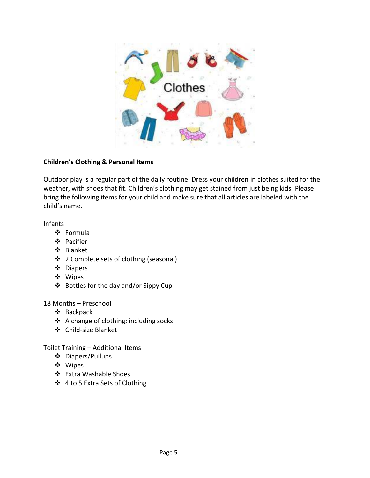

#### **Children's Clothing & Personal Items**

Outdoor play is a regular part of the daily routine. Dress your children in clothes suited for the weather, with shoes that fit. Children's clothing may get stained from just being kids. Please bring the following items for your child and make sure that all articles are labeled with the child's name.

Infants

- ❖ Formula
- ❖ Pacifier
- ❖ Blanket
- ❖ 2 Complete sets of clothing (seasonal)
- ❖ Diapers
- ❖ Wipes
- ❖ Bottles for the day and/or Sippy Cup

18 Months – Preschool

- ❖ Backpack
- ❖ A change of clothing; including socks
- ❖ Child-size Blanket

Toilet Training – Additional Items

- ❖ Diapers/Pullups
- ❖ Wipes
- ❖ Extra Washable Shoes
- ❖ 4 to 5 Extra Sets of Clothing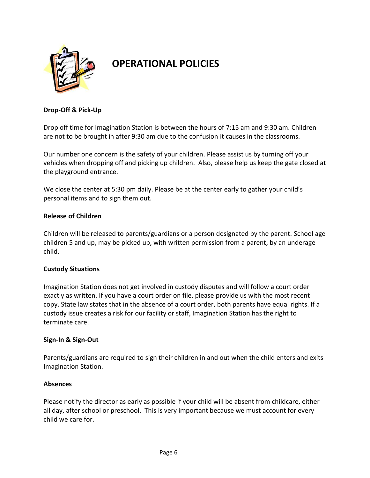

## **OPERATIONAL POLICIES**

#### **Drop-Off & Pick-Up**

Drop off time for Imagination Station is between the hours of 7:15 am and 9:30 am. Children are not to be brought in after 9:30 am due to the confusion it causes in the classrooms.

Our number one concern is the safety of your children. Please assist us by turning off your vehicles when dropping off and picking up children. Also, please help us keep the gate closed at the playground entrance.

We close the center at 5:30 pm daily. Please be at the center early to gather your child's personal items and to sign them out.

#### **Release of Children**

Children will be released to parents/guardians or a person designated by the parent. School age children 5 and up, may be picked up, with written permission from a parent, by an underage child.

#### **Custody Situations**

Imagination Station does not get involved in custody disputes and will follow a court order exactly as written. If you have a court order on file, please provide us with the most recent copy. State law states that in the absence of a court order, both parents have equal rights. If a custody issue creates a risk for our facility or staff, Imagination Station has the right to terminate care.

#### **Sign-In & Sign-Out**

Parents/guardians are required to sign their children in and out when the child enters and exits Imagination Station.

#### **Absences**

Please notify the director as early as possible if your child will be absent from childcare, either all day, after school or preschool. This is very important because we must account for every child we care for.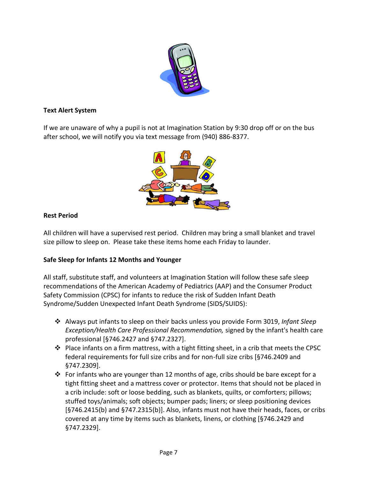

#### **Text Alert System**

If we are unaware of why a pupil is not at Imagination Station by 9:30 drop off or on the bus after school, we will notify you via text message from (940) 886-8377.



#### **Rest Period**

All children will have a supervised rest period. Children may bring a small blanket and travel size pillow to sleep on. Please take these items home each Friday to launder.

#### **Safe Sleep for Infants 12 Months and Younger**

All staff, substitute staff, and volunteers at Imagination Station will follow these safe sleep recommendations of the American Academy of Pediatrics (AAP) and the Consumer Product Safety Commission (CPSC) for infants to reduce the risk of Sudden Infant Death Syndrome/Sudden Unexpected Infant Death Syndrome (SIDS/SUIDS):

- ❖ Always put infants to sleep on their backs unless you provide Form 3019, *Infant Sleep Exception/Health Care Professional Recommendation,* signed by the infant's health care professional [§746.2427 and §747.2327].
- ❖ Place infants on a firm mattress, with a tight fitting sheet, in a crib that meets the CPSC federal requirements for full size cribs and for non-full size cribs [§746.2409 and §747.2309].
- $\cdot \cdot$  For infants who are younger than 12 months of age, cribs should be bare except for a tight fitting sheet and a mattress cover or protector. Items that should not be placed in a crib include: soft or loose bedding, such as blankets, quilts, or comforters; pillows; stuffed toys/animals; soft objects; bumper pads; liners; or sleep positioning devices [§746.2415(b) and §747.2315(b)]. Also, infants must not have their heads, faces, or cribs covered at any time by items such as blankets, linens, or clothing [§746.2429 and §747.2329].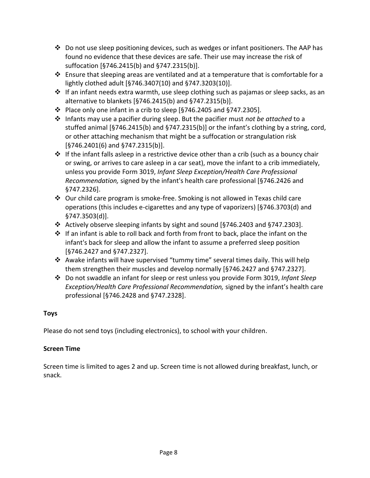- ❖ Do not use sleep positioning devices, such as wedges or infant positioners. The AAP has found no evidence that these devices are safe. Their use may increase the risk of suffocation [§746.2415(b) and §747.2315(b)].
- ❖ Ensure that sleeping areas are ventilated and at a temperature that is comfortable for a lightly clothed adult [§746.3407(10) and §747.3203(10)].
- ❖ If an infant needs extra warmth, use sleep clothing such as pajamas or sleep sacks, as an alternative to blankets [§746.2415(b) and §747.2315(b)].
- ❖ Place only one infant in a crib to sleep [§746.2405 and §747.2305].
- ❖ Infants may use a pacifier during sleep. But the pacifier must *not be attached* to a stuffed animal [§746.2415(b) and §747.2315(b)] or the infant's clothing by a string, cord, or other attaching mechanism that might be a suffocation or strangulation risk [§746.2401(6) and §747.2315(b)].
- $\dots$  If the infant falls asleep in a restrictive device other than a crib (such as a bouncy chair or swing, or arrives to care asleep in a car seat), move the infant to a crib immediately, unless you provide Form 3019, *Infant Sleep Exception/Health Care Professional Recommendation,* signed by the infant's health care professional [§746.2426 and §747.2326].
- ❖ Our child care program is smoke-free. Smoking is not allowed in Texas child care operations (this includes e-cigarettes and any type of vaporizers) [§746.3703(d) and §747.3503(d)].
- ❖ Actively observe sleeping infants by sight and sound [§746.2403 and §747.2303].
- ❖ If an infant is able to roll back and forth from front to back, place the infant on the infant's back for sleep and allow the infant to assume a preferred sleep position [§746.2427 and §747.2327].
- ❖ Awake infants will have supervised "tummy time" several times daily. This will help them strengthen their muscles and develop normally [§746.2427 and §747.2327].
- ❖ Do not swaddle an infant for sleep or rest unless you provide Form 3019, *Infant Sleep Exception/Health Care Professional Recommendation,* signed by the infant's health care professional [§746.2428 and §747.2328].

#### **Toys**

Please do not send toys (including electronics), to school with your children.

#### **Screen Time**

Screen time is limited to ages 2 and up. Screen time is not allowed during breakfast, lunch, or snack.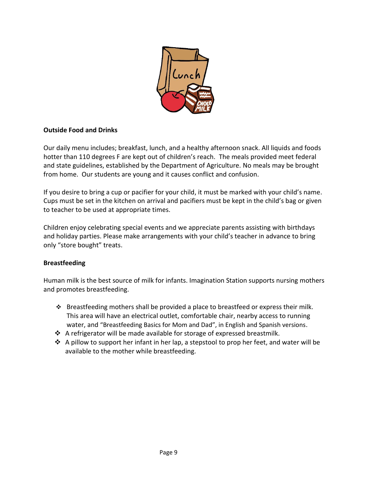

#### **Outside Food and Drinks**

Our daily menu includes; breakfast, lunch, and a healthy afternoon snack. All liquids and foods hotter than 110 degrees F are kept out of children's reach. The meals provided meet federal and state guidelines, established by the Department of Agriculture. No meals may be brought from home. Our students are young and it causes conflict and confusion.

If you desire to bring a cup or pacifier for your child, it must be marked with your child's name. Cups must be set in the kitchen on arrival and pacifiers must be kept in the child's bag or given to teacher to be used at appropriate times.

Children enjoy celebrating special events and we appreciate parents assisting with birthdays and holiday parties. Please make arrangements with your child's teacher in advance to bring only "store bought" treats.

#### **Breastfeeding**

Human milk is the best source of milk for infants. Imagination Station supports nursing mothers and promotes breastfeeding.

- ❖ Breastfeeding mothers shall be provided a place to breastfeed or express their milk. This area will have an electrical outlet, comfortable chair, nearby access to running water, and "Breastfeeding Basics for Mom and Dad", in English and Spanish versions.
- ❖ A refrigerator will be made available for storage of expressed breastmilk.
- ❖ A pillow to support her infant in her lap, a stepstool to prop her feet, and water will be available to the mother while breastfeeding.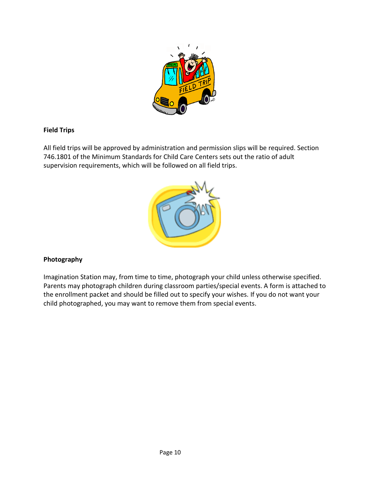

#### **Field Trips**

All field trips will be approved by administration and permission slips will be required. Section 746.1801 of the Minimum Standards for Child Care Centers sets out the ratio of adult supervision requirements, which will be followed on all field trips.



#### **Photography**

Imagination Station may, from time to time, photograph your child unless otherwise specified. Parents may photograph children during classroom parties/special events. A form is attached to the enrollment packet and should be filled out to specify your wishes. If you do not want your child photographed, you may want to remove them from special events.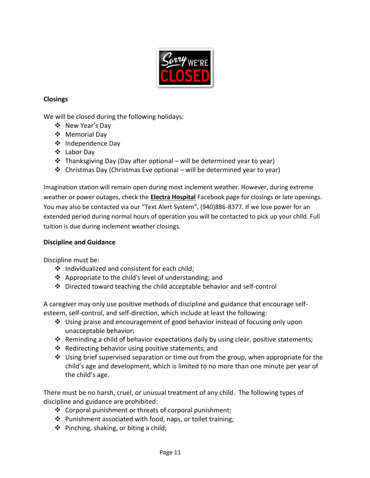

#### **Closings**

We will be closed during the following holidays:

- ❖ New Year's Day
- ❖ Memorial Day
- ❖ Independence Day
- ❖ Labor Day
- $\cdot$  Thanksgiving Day (Day after optional will be determined year to year)
- ❖ Christmas Day (Christmas Eve optional will be determined year to year)

Imagination station will remain open during most inclement weather. However, during extreme weather or power outages, check the **Electra Hospital** Facebook page for closings or late openings. You may also be contacted via our "Text Alert System", (940)886-8377. If we lose power for an extended period during normal hours of operation you will be contacted to pick up your child. Full tuition is due during inclement weather closings.

#### **Discipline and Guidance**

Discipline must be:

- ❖ Individualized and consistent for each child;
- ❖ Appropriate to the child's level of understanding; and
- ❖ Directed toward teaching the child acceptable behavior and self-control

A caregiver may only use positive methods of discipline and guidance that encourage selfesteem, self-control, and self-direction, which include at least the following:

- ❖ Using praise and encouragement of good behavior instead of focusing only upon unacceptable behavior;
- ❖ Reminding a child of behavior expectations daily by using clear, positive statements;
- ❖ Redirecting behavior using positive statements; and
- $\div$  Using brief supervised separation or time out from the group, when appropriate for the child's age and development, which is limited to no more than one minute per year of the child's age.

There must be no harsh, cruel, or unusual treatment of any child. The following types of discipline and guidance are prohibited:

- ❖ Corporal punishment or threats of corporal punishment;
- ❖ Punishment associated with food, naps, or toilet training;
- ❖ Pinching, shaking, or biting a child;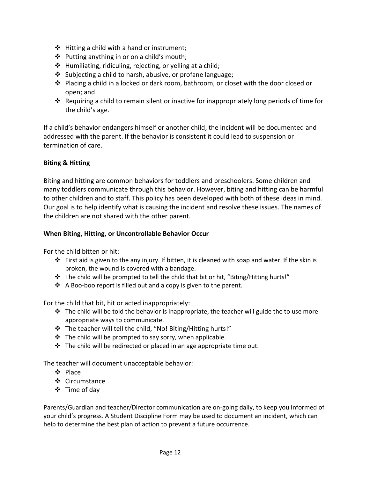- ❖ Hitting a child with a hand or instrument;
- ❖ Putting anything in or on a child's mouth;
- ❖ Humiliating, ridiculing, rejecting, or yelling at a child;
- ❖ Subjecting a child to harsh, abusive, or profane language;
- ❖ Placing a child in a locked or dark room, bathroom, or closet with the door closed or open; and
- ❖ Requiring a child to remain silent or inactive for inappropriately long periods of time for the child's age.

If a child's behavior endangers himself or another child, the incident will be documented and addressed with the parent. If the behavior is consistent it could lead to suspension or termination of care.

#### **Biting & Hitting**

Biting and hitting are common behaviors for toddlers and preschoolers. Some children and many toddlers communicate through this behavior. However, biting and hitting can be harmful to other children and to staff. This policy has been developed with both of these ideas in mind. Our goal is to help identify what is causing the incident and resolve these issues. The names of the children are not shared with the other parent.

#### **When Biting, Hitting, or Uncontrollable Behavior Occur**

For the child bitten or hit:

- ❖ First aid is given to the any injury. If bitten, it is cleaned with soap and water. If the skin is broken, the wound is covered with a bandage.
- ❖ The child will be prompted to tell the child that bit or hit, "Biting/Hitting hurts!"
- ❖ A Boo-boo report is filled out and a copy is given to the parent.

For the child that bit, hit or acted inappropriately:

- $\div$  The child will be told the behavior is inappropriate, the teacher will guide the to use more appropriate ways to communicate.
- ❖ The teacher will tell the child, "No! Biting/Hitting hurts!"
- ❖ The child will be prompted to say sorry, when applicable.
- $\cdot \cdot$  The child will be redirected or placed in an age appropriate time out.

The teacher will document unacceptable behavior:

- ❖ Place
- ❖ Circumstance
- ❖ Time of day

Parents/Guardian and teacher/Director communication are on-going daily, to keep you informed of your child's progress. A Student Discipline Form may be used to document an incident, which can help to determine the best plan of action to prevent a future occurrence.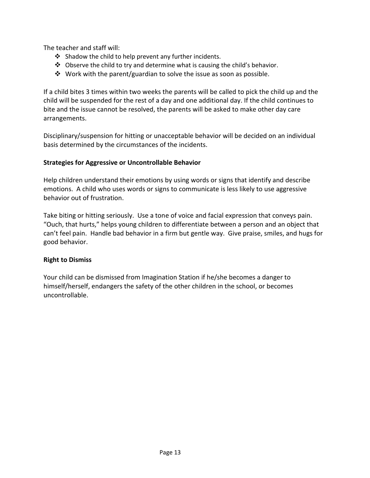The teacher and staff will:

- ❖ Shadow the child to help prevent any further incidents.
- ❖ Observe the child to try and determine what is causing the child's behavior.
- ❖ Work with the parent/guardian to solve the issue as soon as possible.

If a child bites 3 times within two weeks the parents will be called to pick the child up and the child will be suspended for the rest of a day and one additional day. If the child continues to bite and the issue cannot be resolved, the parents will be asked to make other day care arrangements.

Disciplinary/suspension for hitting or unacceptable behavior will be decided on an individual basis determined by the circumstances of the incidents.

#### **Strategies for Aggressive or Uncontrollable Behavior**

Help children understand their emotions by using words or signs that identify and describe emotions. A child who uses words or signs to communicate is less likely to use aggressive behavior out of frustration.

Take biting or hitting seriously. Use a tone of voice and facial expression that conveys pain. "Ouch, that hurts," helps young children to differentiate between a person and an object that can't feel pain. Handle bad behavior in a firm but gentle way. Give praise, smiles, and hugs for good behavior.

#### **Right to Dismiss**

Your child can be dismissed from Imagination Station if he/she becomes a danger to himself/herself, endangers the safety of the other children in the school, or becomes uncontrollable.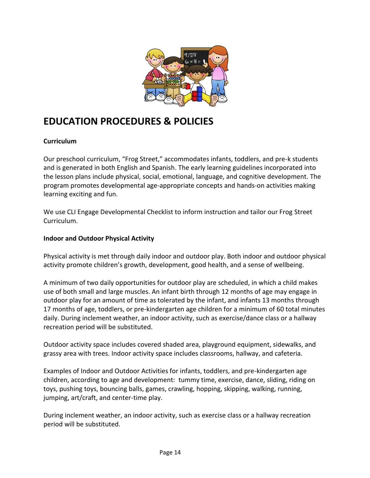

## **EDUCATION PROCEDURES & POLICIES**

#### **Curriculum**

Our preschool curriculum, "Frog Street," accommodates infants, toddlers, and pre-k students and is generated in both English and Spanish. The early learning guidelines incorporated into the lesson plans include physical, social, emotional, language, and cognitive development. The program promotes developmental age-appropriate concepts and hands-on activities making learning exciting and fun.

We use CLI Engage Developmental Checklist to inform instruction and tailor our Frog Street Curriculum.

#### **Indoor and Outdoor Physical Activity**

Physical activity is met through daily indoor and outdoor play. Both indoor and outdoor physical activity promote children's growth, development, good health, and a sense of wellbeing.

A minimum of two daily opportunities for outdoor play are scheduled, in which a child makes use of both small and large muscles. An infant birth through 12 months of age may engage in outdoor play for an amount of time as tolerated by the infant, and infants 13 months through 17 months of age, toddlers, or pre-kindergarten age children for a minimum of 60 total minutes daily. During inclement weather, an indoor activity, such as exercise/dance class or a hallway recreation period will be substituted.

Outdoor activity space includes covered shaded area, playground equipment, sidewalks, and grassy area with trees. Indoor activity space includes classrooms, hallway, and cafeteria.

Examples of Indoor and Outdoor Activities for infants, toddlers, and pre-kindergarten age children, according to age and development: tummy time, exercise, dance, sliding, riding on toys, pushing toys, bouncing balls, games, crawling, hopping, skipping, walking, running, jumping, art/craft, and center-time play.

During inclement weather, an indoor activity, such as exercise class or a hallway recreation period will be substituted.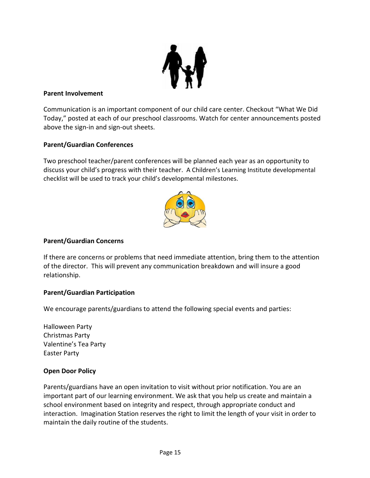

#### **Parent Involvement**

Communication is an important component of our child care center. Checkout "What We Did Today," posted at each of our preschool classrooms. Watch for center announcements posted above the sign-in and sign-out sheets.

#### **Parent/Guardian Conferences**

Two preschool teacher/parent conferences will be planned each year as an opportunity to discuss your child's progress with their teacher. A Children's Learning Institute developmental checklist will be used to track your child's developmental milestones.



#### **Parent/Guardian Concerns**

If there are concerns or problems that need immediate attention, bring them to the attention of the director. This will prevent any communication breakdown and will insure a good relationship.

#### **Parent/Guardian Participation**

We encourage parents/guardians to attend the following special events and parties:

Halloween Party Christmas Party Valentine's Tea Party Easter Party

#### **Open Door Policy**

Parents/guardians have an open invitation to visit without prior notification. You are an important part of our learning environment. We ask that you help us create and maintain a school environment based on integrity and respect, through appropriate conduct and interaction. Imagination Station reserves the right to limit the length of your visit in order to maintain the daily routine of the students.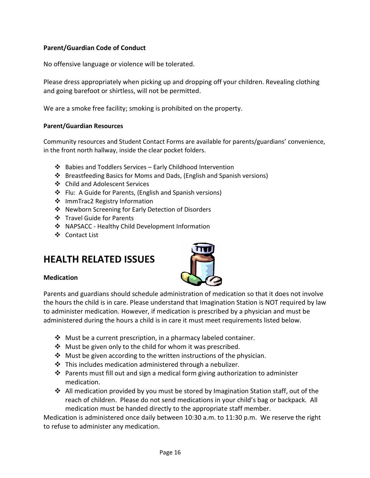#### **Parent/Guardian Code of Conduct**

No offensive language or violence will be tolerated.

Please dress appropriately when picking up and dropping off your children. Revealing clothing and going barefoot or shirtless, will not be permitted.

We are a smoke free facility; smoking is prohibited on the property.

#### **Parent/Guardian Resources**

Community resources and Student Contact Forms are available for parents/guardians' convenience, in the front north hallway, inside the clear pocket folders.

- ❖ Babies and Toddlers Services Early Childhood Intervention
- ❖ Breastfeeding Basics for Moms and Dads, (English and Spanish versions)
- ❖ Child and Adolescent Services
- ❖ Flu: A Guide for Parents, (English and Spanish versions)
- ❖ ImmTrac2 Registry Information
- ❖ Newborn Screening for Early Detection of Disorders
- ❖ Travel Guide for Parents
- ❖ NAPSACC Healthy Child Development Information
- ❖ Contact List

## **HEALTH RELATED ISSUES**



#### **Medication**

Parents and guardians should schedule administration of medication so that it does not involve the hours the child is in care. Please understand that Imagination Station is NOT required by law to administer medication. However, if medication is prescribed by a physician and must be administered during the hours a child is in care it must meet requirements listed below.

- ❖ Must be a current prescription, in a pharmacy labeled container.
- ❖ Must be given only to the child for whom it was prescribed.
- ❖ Must be given according to the written instructions of the physician.
- ❖ This includes medication administered through a nebulizer.
- ❖ Parents must fill out and sign a medical form giving authorization to administer medication.
- $\dots$  All medication provided by you must be stored by Imagination Station staff, out of the reach of children. Please do not send medications in your child's bag or backpack. All medication must be handed directly to the appropriate staff member.

Medication is administered once daily between 10:30 a.m. to 11:30 p.m. We reserve the right to refuse to administer any medication.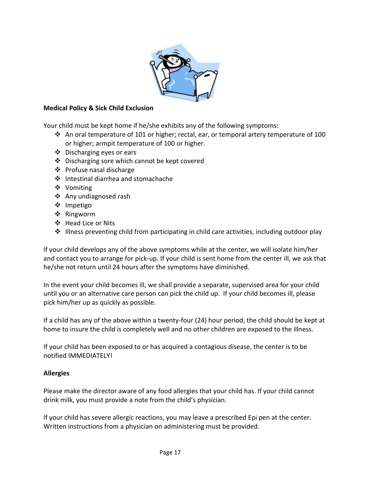

#### **Medical Policy & Sick Child Exclusion**

Your child must be kept home if he/she exhibits any of the following symptoms:

- $\dots$  An oral temperature of 101 or higher; rectal, ear, or temporal artery temperature of 100 or higher; armpit temperature of 100 or higher.
- ❖ Discharging eyes or ears
- ❖ Discharging sore which cannot be kept covered
- ❖ Profuse nasal discharge
- ❖ Intestinal diarrhea and stomachache
- ❖ Vomiting
- ❖ Any undiagnosed rash
- ❖ Impetigo
- ❖ Ringworm
- ❖ Head Lice or Nits
- $\div$  Illness preventing child from participating in child care activities, including outdoor play

If your child develops any of the above symptoms while at the center, we will isolate him/her and contact you to arrange for pick-up. If your child is sent home from the center ill, we ask that he/she not return until 24 hours after the symptoms have diminished.

In the event your child becomes ill, we shall provide a separate, supervised area for your child until you or an alternative care person can pick the child up. If your child becomes ill, please pick him/her up as quickly as possible.

If a child has any of the above within a twenty-four (24) hour period, the child should be kept at home to insure the child is completely well and no other children are exposed to the illness.

If your child has been exposed to or has acquired a contagious disease, the center is to be notified IMMEDIATELY!

#### **Allergies**

Please make the director aware of any food allergies that your child has. If your child cannot drink milk, you must provide a note from the child's physician.

If your child has severe allergic reactions, you may leave a prescribed Epi pen at the center. Written instructions from a physician on administering must be provided.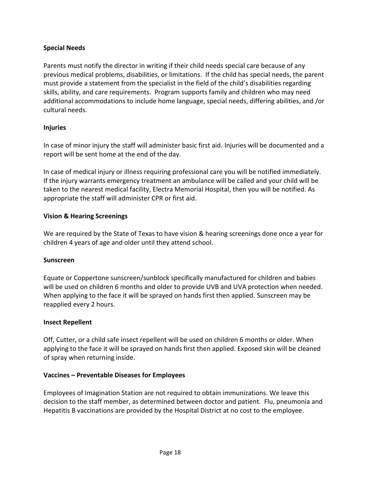#### **Special Needs**

Parents must notify the director in writing if their child needs special care because of any previous medical problems, disabilities, or limitations. If the child has special needs, the parent must provide a statement from the specialist in the field of the child's disabilities regarding skills, ability, and care requirements. Program supports family and children who may need additional accommodations to include home language, special needs, differing abilities, and /or cultural needs.

#### **Injuries**

In case of minor injury the staff will administer basic first aid. Injuries will be documented and a report will be sent home at the end of the day.

In case of medical injury or illness requiring professional care you will be notified immediately. If the injury warrants emergency treatment an ambulance will be called and your child will be taken to the nearest medical facility, Electra Memorial Hospital, then you will be notified. As appropriate the staff will administer CPR or first aid.

#### **Vision & Hearing Screenings**

We are required by the State of Texas to have vision & hearing screenings done once a year for children 4 years of age and older until they attend school.

#### **Sunscreen**

Equate or Coppertone sunscreen/sunblock specifically manufactured for children and babies will be used on children 6 months and older to provide UVB and UVA protection when needed. When applying to the face it will be sprayed on hands first then applied. Sunscreen may be reapplied every 2 hours.

#### **Insect Repellent**

Off, Cutter, or a child safe insect repellent will be used on children 6 months or older. When applying to the face it will be sprayed on hands first then applied. Exposed skin will be cleaned of spray when returning inside.

#### **Vaccines – Preventable Diseases for Employees**

Employees of Imagination Station are not required to obtain immunizations. We leave this decision to the staff member, as determined between doctor and patient. Flu, pneumonia and Hepatitis B vaccinations are provided by the Hospital District at no cost to the employee.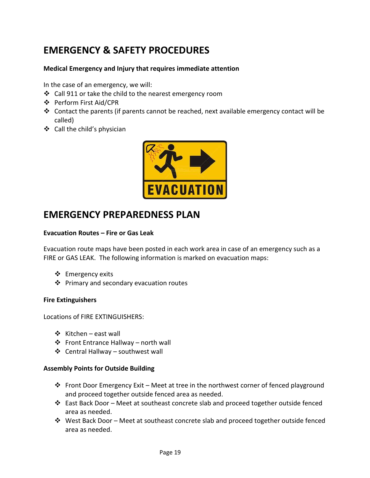## **EMERGENCY & SAFETY PROCEDURES**

#### **Medical Emergency and Injury that requires immediate attention**

In the case of an emergency, we will:

- ❖ Call 911 or take the child to the nearest emergency room
- ❖ Perform First Aid/CPR
- ❖ Contact the parents (if parents cannot be reached, next available emergency contact will be called)
- ❖ Call the child's physician



## **EMERGENCY PREPAREDNESS PLAN**

#### **Evacuation Routes – Fire or Gas Leak**

Evacuation route maps have been posted in each work area in case of an emergency such as a FIRE or GAS LEAK. The following information is marked on evacuation maps:

- ❖ Emergency exits
- ❖ Primary and secondary evacuation routes

#### **Fire Extinguishers**

Locations of FIRE EXTINGUISHERS:

- ❖ Kitchen east wall
- ❖ Front Entrance Hallway north wall
- ❖ Central Hallway southwest wall

#### **Assembly Points for Outside Building**

- $\dots$  Front Door Emergency Exit Meet at tree in the northwest corner of fenced playground and proceed together outside fenced area as needed.
- ❖ East Back Door Meet at southeast concrete slab and proceed together outside fenced area as needed.
- $\dots$  West Back Door Meet at southeast concrete slab and proceed together outside fenced area as needed.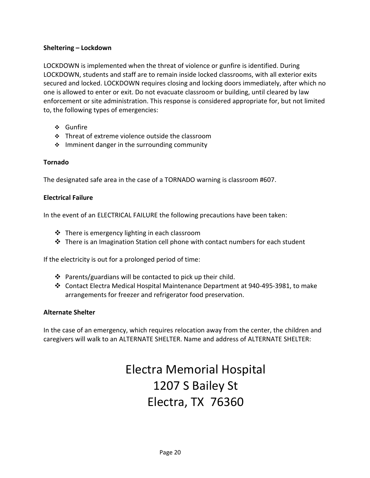#### **Sheltering – Lockdown**

LOCKDOWN is implemented when the threat of violence or gunfire is identified. During LOCKDOWN, students and staff are to remain inside locked classrooms, with all exterior exits secured and locked. LOCKDOWN requires closing and locking doors immediately, after which no one is allowed to enter or exit. Do not evacuate classroom or building, until cleared by law enforcement or site administration. This response is considered appropriate for, but not limited to, the following types of emergencies:

- ❖ Gunfire
- ❖ Threat of extreme violence outside the classroom
- ❖ Imminent danger in the surrounding community

#### **Tornado**

The designated safe area in the case of a TORNADO warning is classroom #607.

#### **Electrical Failure**

In the event of an ELECTRICAL FAILURE the following precautions have been taken:

- ❖ There is emergency lighting in each classroom
- ❖ There is an Imagination Station cell phone with contact numbers for each student

If the electricity is out for a prolonged period of time:

- ❖ Parents/guardians will be contacted to pick up their child.
- ❖ Contact Electra Medical Hospital Maintenance Department at 940-495-3981, to make arrangements for freezer and refrigerator food preservation.

#### **Alternate Shelter**

In the case of an emergency, which requires relocation away from the center, the children and caregivers will walk to an ALTERNATE SHELTER. Name and address of ALTERNATE SHELTER:

## Electra Memorial Hospital 1207 S Bailey St Electra, TX 76360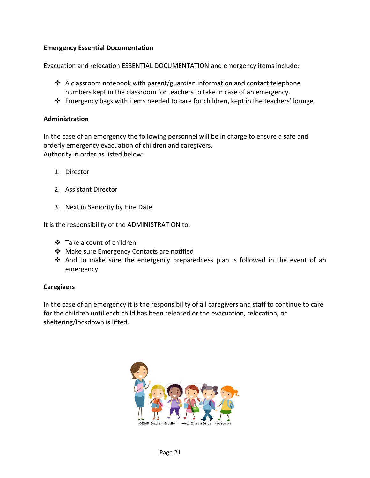#### **Emergency Essential Documentation**

Evacuation and relocation ESSENTIAL DOCUMENTATION and emergency items include:

- ❖ A classroom notebook with parent/guardian information and contact telephone numbers kept in the classroom for teachers to take in case of an emergency.
- ❖ Emergency bags with items needed to care for children, kept in the teachers' lounge.

#### **Administration**

In the case of an emergency the following personnel will be in charge to ensure a safe and orderly emergency evacuation of children and caregivers. Authority in order as listed below:

- 1. Director
- 2. Assistant Director
- 3. Next in Seniority by Hire Date

It is the responsibility of the ADMINISTRATION to:

- ❖ Take a count of children
- ❖ Make sure Emergency Contacts are notified
- ❖ And to make sure the emergency preparedness plan is followed in the event of an emergency

#### **Caregivers**

In the case of an emergency it is the responsibility of all caregivers and staff to continue to care for the children until each child has been released or the evacuation, relocation, or sheltering/lockdown is lifted.

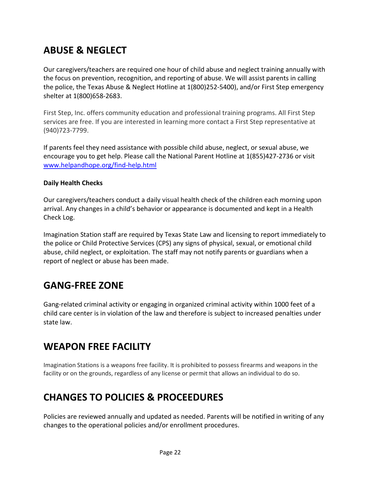## **ABUSE & NEGLECT**

Our caregivers/teachers are required one hour of child abuse and neglect training annually with the focus on prevention, recognition, and reporting of abuse. We will assist parents in calling the police, the Texas Abuse & Neglect Hotline at 1(800)252-5400), and/or First Step emergency shelter at 1(800)658-2683.

First Step, Inc. offers community education and professional training programs. All First Step services are free. If you are interested in learning more contact a First Step representative at (940)723-7799.

If parents feel they need assistance with possible child abuse, neglect, or sexual abuse, we encourage you to get help. Please call the National Parent Hotline at 1(855)427-2736 or visit [www.helpandhope.org/find-help.html](http://www.helpandhope.org/find-help.html)

#### **Daily Health Checks**

Our caregivers/teachers conduct a daily visual health check of the children each morning upon arrival. Any changes in a child's behavior or appearance is documented and kept in a Health Check Log.

Imagination Station staff are required by Texas State Law and licensing to report immediately to the police or Child Protective Services (CPS) any signs of physical, sexual, or emotional child abuse, child neglect, or exploitation. The staff may not notify parents or guardians when a report of neglect or abuse has been made.

## **GANG-FREE ZONE**

Gang-related criminal activity or engaging in organized criminal activity within 1000 feet of a child care center is in violation of the law and therefore is subject to increased penalties under state law.

## **WEAPON FREE FACILITY**

Imagination Stations is a weapons free facility. It is prohibited to possess firearms and weapons in the facility or on the grounds, regardless of any license or permit that allows an individual to do so.

## **CHANGES TO POLICIES & PROCEEDURES**

Policies are reviewed annually and updated as needed. Parents will be notified in writing of any changes to the operational policies and/or enrollment procedures.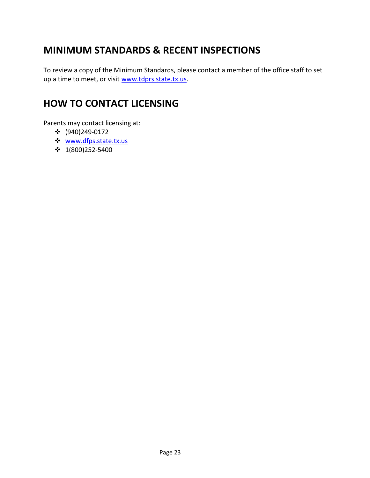## **MINIMUM STANDARDS & RECENT INSPECTIONS**

To review a copy of the Minimum Standards, please contact a member of the office staff to set up a time to meet, or visit [www.tdprs.state.tx.us.](http://www.tdprs.state.tx.us/)

## **HOW TO CONTACT LICENSING**

Parents may contact licensing at:

- ❖ (940)249-0172
- ❖ [www.dfps.state.tx.us](http://www.dfps.state.tx.us/)
- ❖ 1(800)252-5400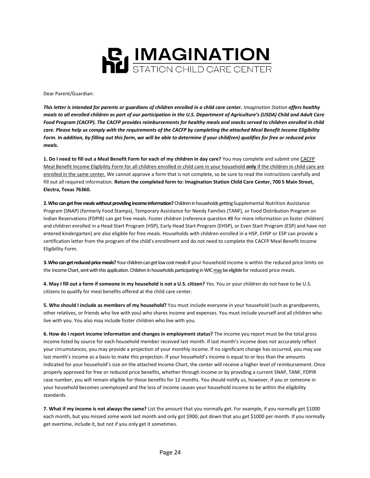

Dear Parent/Guardian:

*This letter is intended for parents or guardians of children enrolled in a child care center. Imagination Station offers healthy meals to all enrolled children as part of our participation in the U.S. Department of Agriculture's (USDA) Child and Adult Care Food Program (CACFP). The CACFP provides reimbursements for healthy meals and snacks served to children enrolled in child care. Please help us comply with the requirements of the CACFP by completing the attached Meal Benefit Income Eligibility Form. In addition, by filling out this form, we will be able to determine if your child(ren) qualifies for free or reduced price meals.*

**1. Do I need to fill out a Meal Benefit Form for each of my children in day care?** You may complete and submit one CACFP Meal Benefit Income Eligibility Form for all children enrolled in child care in your household **only** if the children in child care are enrolled in the same center. We cannot approve a form that is not complete, so be sure to read the instructions carefully and fill out all required information. **Return the completed form to: Imagination Station Child Care Center, 700 S Main Street, Electra, Texas 76360.** 

**2. Who can get free meals without providing income information?**Children in households getting Supplemental Nutrition Assistance Program (SNAP) (formerly Food Stamps), Temporary Assistance for Needy Families (TANF), or Food Distribution Program on Indian Reservations (FDPIR) can get free meals. Foster children (reference question #8 for more information on foster children) and children enrolled in a Head Start Program (HSP), Early Head Start Program (EHSP), or Even Start Program (ESP) and have not entered kindergarten) are also eligible for free meals. Households with children enrolled in a HSP, EHSP or ESP can provide a certification letter from the program of the child's enrollment and do not need to complete the CACFP Meal Benefit Income Eligibility Form.

**3. Who can get reduced price meals?** Your children can get low cost meals if your household income is within the reduced price limits on the Income Chart, sent with this application. Children in households participating in WIC maybe eligible forreduced price meals.

**4. May I fill out a form if someone in my household is not a U.S. citizen?** Yes. You or your children do not have to be U.S. citizens to qualify for meal benefits offered at the child care center.

**5. Who should I include as members of my household?** You must include everyone in your household (such as grandparents, other relatives, or friends who live with you) who shares income and expenses. You must include yourself and all children who live with you. You also may include foster children who live with you.

**6. How do I report income information and changes in employment status?** The income you report must be the total gross income listed by source for each household member received last month. If last month's income does not accurately reflect your circumstances, you may provide a projection of your monthly income. If no significant change has occurred, you may use last month's income as a basis to make this projection. If your household's income is equal to or less than the amounts indicated for your household's size on the attached Income Chart, the center will receive a higher level of reimbursement. Once properly approved for free or reduced price benefits, whether through income or by providing a current SNAP, TANF, FDPIR case number, you will remain eligible for those benefits for 12 months. You should notify us, however, if you or someone in your household becomes unemployed and the loss of income causes your household income to be within the eligibility standards.

**7. What if my income is not always the same?** List the amount that you normally get. For example, if you normally get \$1000 each month, but you missed some work last month and only got \$900, put down that you get \$1000 per month. If you normally get overtime, include it, but not if you only get it sometimes.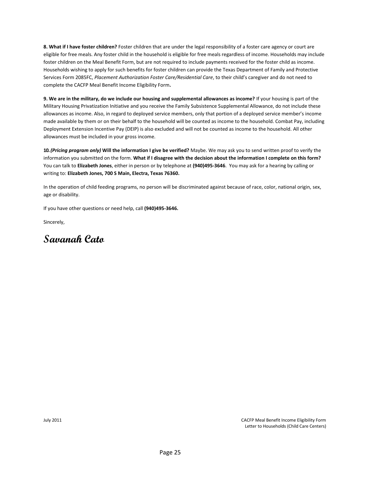**8. What if I have foster children?** Foster children that are under the legal responsibility of a foster care agency or court are eligible for free meals. Any foster child in the household is eligible for free meals regardless of income. Households may include foster children on the Meal Benefit Form, but are not required to include payments received for the foster child as income. Households wishing to apply for such benefits for foster children can provide the Texas Department of Family and Protective Services Form 2085FC, *Placement Authorization Foster Care/Residential Care*, to their child's caregiver and do not need to complete the CACFP Meal Benefit Income Eligibility Form**.** 

**9. We are in the military, do we include our housing and supplemental allowances as income?** If your housing is part of the Military Housing Privatization Initiative and you receive the Family Subsistence Supplemental Allowance, do not include these allowances as income. Also, in regard to deployed service members, only that portion of a deployed service member's income made available by them or on their behalf to the household will be counted as income to the household. Combat Pay, including Deployment Extension Incentive Pay (DEIP) is also excluded and will not be counted as income to the household. All other allowances must be included in your gross income.

**10.** *(Pricing program only)* **Will the information I give be verified?** Maybe. We may ask you to send written proof to verify the information you submitted on the form. **What if I disagree with the decision about the information I complete on this form?** You can talk to **Elizabeth Jones**, either in person or by telephone at **(940)495-3646**. You may ask for a hearing by calling or writing to: **Elizabeth Jones, 700 S Main, Electra, Texas 76360.**

In the operation of child feeding programs, no person will be discriminated against because of race, color, national origin, sex, age or disability.

If you have other questions or need help, call **(940)495-3646.**

Sincerely,

**Savanah Cato**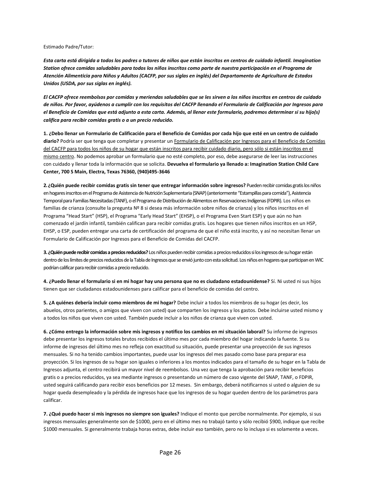#### Estimado Padre/Tutor:

*Esta carta está dirigida a todos los padres o tutores de niños que están inscritos en centros de cuidado infantil. Imagination Station ofrece comidas saludables para todos los niños inscritos como parte de nuestra participación en el Programa de Atención Alimenticia para Niños y Adultos (CACFP, por sus siglas en inglés) del Departamento de Agricultura de Estados Unidos (USDA, por sus siglas en inglés).*

*El CACFP ofrece reembolsos por comidas y meriendas saludables que se les sirven a los niños inscritos en centros de cuidado de niños. Por favor, ayúdenos a cumplir con los requisitos del CACFP llenando el Formulario de Calificación por Ingresos para el Beneficio de Comidas que está adjunto a esta carta. Además, al llenar este formulario, podremos determinar si su hijo(s) califica para recibir comidas gratis o a un precio reducido.*

**1. ¿Debo llenar un Formulario de Calificación para el Beneficio de Comidas por cada hijo que esté en un centro de cuidado diario?** Podría ser que tenga que completar y presentar un Formulario de Calificación por Ingresos para el Beneficio de Comidas del CACFP para todos los niños de su hogar que están inscritos para recibir cuidado diario, pero sólo si están inscritos en el mismo centro. No podemos aprobar un formulario que no esté completo, por eso, debe asegurarse de leer las instrucciones con cuidado y llenar toda la información que se solicita. **Devuelva el formulario ya llenado a: Imagination Station Child Care Center, 700 S Main, Electra, Texas 76360, (940)495-3646** 

**2. ¿Quién puede recibir comidas gratis sin tener que entregar información sobre ingresos?** Pueden recibir comidas gratis los niños en hogares inscritos en el Programa de Asistencia de Nutrición Suplementaria (SNAP) (anteriormente "Estampillas para comida"), Asistencia Temporal para Familias Necesitadas (TANF), o el Programa de Distribución de Alimentos en Reservaciones Indígenas (FDPIR). Los niños en familias de crianza (consulte la pregunta Nº 8 si desea más información sobre niños de crianza) y los niños inscritos en el Programa "Head Start" (HSP), el Programa "Early Head Start" (EHSP), o el Programa Even Start ESP) y que aún no han comenzado el jardín infantil, también califican para recibir comidas gratis. Los hogares que tienen niños inscritos en un HSP, EHSP, o ESP, pueden entregar una carta de certificación del programa de que el niño está inscrito, y así no necesitan llenar un Formulario de Calificación por Ingresos para el Beneficio de Comidas del CACFP.

**3. ¿Quién puede recibir comidas a precios reducidos?**Los niños pueden recibir comidas a precios reducidos si los ingresos de su hogar están dentro de los límites de precios reducidos de la Tabla de Ingresos que se envió junto con esta solicitud. Los niños en hogares que participan en WIC podrían calificar para recibir comidas a precio reducido.

**4. ¿Puedo llenar el formulario si en mi hogar hay una persona que no es ciudadano estadounidense?** Sí. Ni usted ni sus hijos tienen que ser ciudadanos estadounidenses para calificar para el beneficio de comidas del centro.

**5. ¿A quiénes debería incluir como miembros de mi hogar?** Debe incluir a todos los miembros de su hogar (es decir, los abuelos, otros parientes, o amigos que viven con usted) que comparten los ingresos y los gastos. Debe incluirse usted mismo y a todos los niños que viven con usted. También puede incluir a los niños de crianza que viven con usted.

**6. ¿Cómo entrego la información sobre mis ingresos y notifico los cambios en mi situación laboral?** Su informe de ingresos debe presentar los ingresos totales brutos recibidos el último mes por cada miembro del hogar indicando la fuente. Si su informe de ingresos del último mes no refleja con exactitud su situación, puede presentar una proyección de sus ingresos mensuales. Si no ha tenido cambios importantes, puede usar los ingresos del mes pasado como base para preparar esa proyección. Si los ingresos de su hogar son iguales o inferiores a los montos indicados para el tamaño de su hogar en la Tabla de Ingresos adjunta, el centro recibirá un mayor nivel de reembolsos. Una vez que tenga la aprobación para recibir beneficios gratis o a precios reducidos, ya sea mediante ingresos o presentando un número de caso vigente del SNAP, TANF, o FDPIR, usted seguirá calificando para recibir esos beneficios por 12 meses. Sin embargo, deberá notificarnos si usted o alguien de su hogar queda desempleado y la pérdida de ingresos hace que los ingresos de su hogar queden dentro de los parámetros para calificar.

**7. ¿Qué puedo hacer si mis ingresos no siempre son iguales?** Indique el monto que percibe normalmente. Por ejemplo, si sus ingresos mensuales generalmente son de \$1000, pero en el último mes no trabajó tanto y sólo recibió \$900, indique que recibe \$1000 mensuales. Si generalmente trabaja horas extras, debe incluir eso también, pero no lo incluya si es solamente a veces.